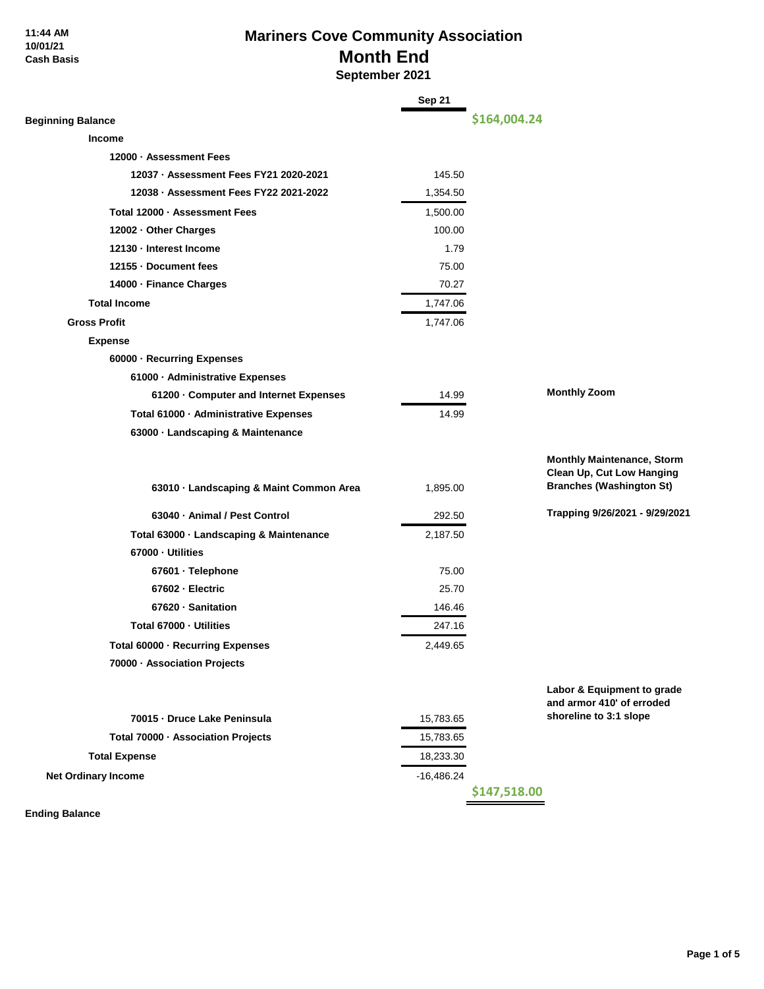#### **11:44 AM 10/01/21 Cash Basis**

## **Mariners Cove Community Association Month End September 2021**

|                                         | Sep 21       |              |                                                                |
|-----------------------------------------|--------------|--------------|----------------------------------------------------------------|
| <b>Beginning Balance</b>                |              | \$164,004.24 |                                                                |
| <b>Income</b>                           |              |              |                                                                |
| 12000 - Assessment Fees                 |              |              |                                                                |
| 12037 · Assessment Fees FY21 2020-2021  | 145.50       |              |                                                                |
| 12038 · Assessment Fees FY22 2021-2022  | 1,354.50     |              |                                                                |
| Total 12000 · Assessment Fees           | 1,500.00     |              |                                                                |
| 12002 - Other Charges                   | 100.00       |              |                                                                |
| 12130 - Interest Income                 | 1.79         |              |                                                                |
| 12155 - Document fees                   | 75.00        |              |                                                                |
| 14000 · Finance Charges                 | 70.27        |              |                                                                |
| <b>Total Income</b>                     | 1,747.06     |              |                                                                |
| <b>Gross Profit</b>                     | 1,747.06     |              |                                                                |
| <b>Expense</b>                          |              |              |                                                                |
| 60000 · Recurring Expenses              |              |              |                                                                |
| 61000 - Administrative Expenses         |              |              |                                                                |
| 61200 · Computer and Internet Expenses  | 14.99        |              | <b>Monthly Zoom</b>                                            |
| Total 61000 · Administrative Expenses   | 14.99        |              |                                                                |
| 63000 · Landscaping & Maintenance       |              |              |                                                                |
|                                         |              |              |                                                                |
|                                         |              |              | <b>Monthly Maintenance, Storm</b><br>Clean Up, Cut Low Hanging |
| 63010 · Landscaping & Maint Common Area | 1,895.00     |              | <b>Branches (Washington St)</b>                                |
| 63040 · Animal / Pest Control           | 292.50       |              | Trapping 9/26/2021 - 9/29/2021                                 |
| Total 63000 · Landscaping & Maintenance | 2,187.50     |              |                                                                |
| 67000 - Utilities                       |              |              |                                                                |
| 67601 · Telephone                       | 75.00        |              |                                                                |
| 67602 - Electric                        | 25.70        |              |                                                                |
| 67620 · Sanitation                      | 146.46       |              |                                                                |
| Total 67000 - Utilities                 | 247.16       |              |                                                                |
| Total 60000 · Recurring Expenses        | 2,449.65     |              |                                                                |
| 70000 - Association Projects            |              |              |                                                                |
|                                         |              |              |                                                                |
|                                         |              |              | Labor & Equipment to grade<br>and armor 410' of erroded        |
| 70015 - Druce Lake Peninsula            | 15,783.65    |              | shoreline to 3:1 slope                                         |
| Total 70000 · Association Projects      | 15,783.65    |              |                                                                |
| <b>Total Expense</b>                    | 18,233.30    |              |                                                                |
| <b>Net Ordinary Income</b>              | $-16,486.24$ |              |                                                                |
|                                         |              | \$147,518.00 |                                                                |

÷

**Ending Balance**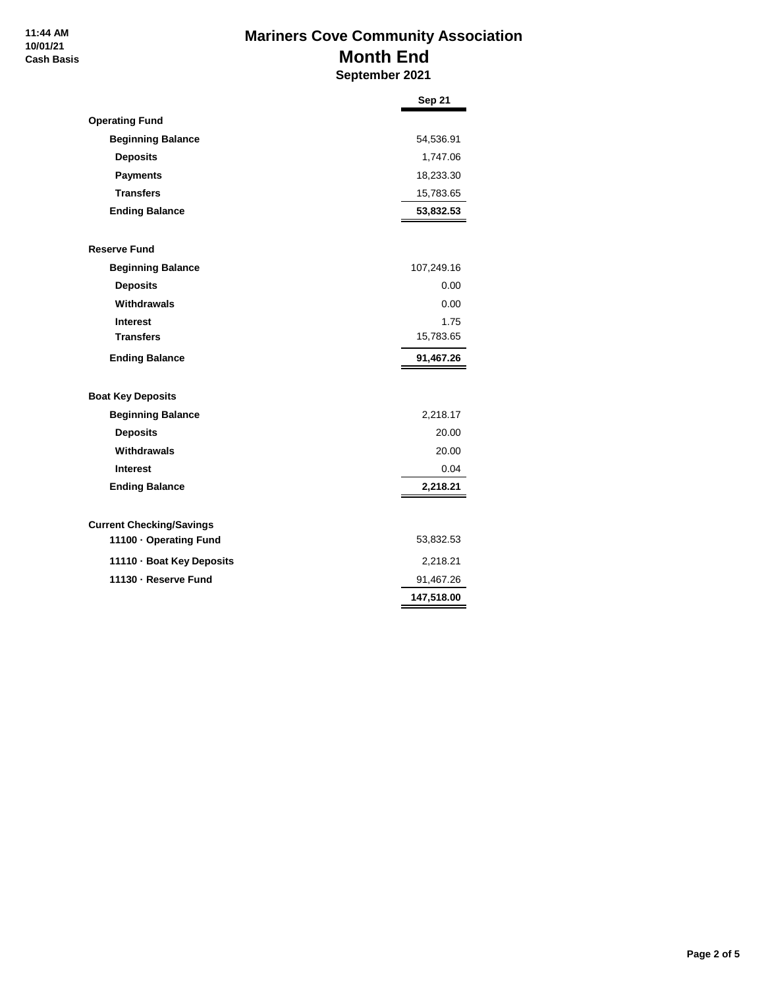## **Mariners Cove Community Association Month End September 2021**

|                                             | <b>Sep 21</b>           |
|---------------------------------------------|-------------------------|
| <b>Operating Fund</b>                       |                         |
| <b>Beginning Balance</b>                    | 54,536.91               |
| <b>Deposits</b>                             | 1,747.06                |
| <b>Payments</b>                             | 18,233.30               |
| <b>Transfers</b>                            | 15,783.65               |
| <b>Ending Balance</b>                       | 53,832.53               |
| <b>Reserve Fund</b>                         |                         |
| <b>Beginning Balance</b>                    | 107,249.16              |
| <b>Deposits</b>                             | 0.00                    |
| Withdrawals                                 | 0.00                    |
| <b>Interest</b>                             | 1.75                    |
| <b>Transfers</b>                            | 15,783.65               |
| <b>Ending Balance</b>                       | 91,467.26               |
|                                             |                         |
|                                             |                         |
| <b>Boat Key Deposits</b>                    |                         |
| <b>Beginning Balance</b><br><b>Deposits</b> | 2,218.17<br>20.00       |
| Withdrawals                                 | 20.00                   |
| <b>Interest</b>                             | 0.04                    |
| <b>Ending Balance</b>                       | 2,218.21                |
|                                             |                         |
| <b>Current Checking/Savings</b>             |                         |
| 11100 · Operating Fund                      | 53,832.53               |
| 11110 · Boat Key Deposits                   | 2,218.21                |
| 11130 - Reserve Fund                        | 91,467.26<br>147,518.00 |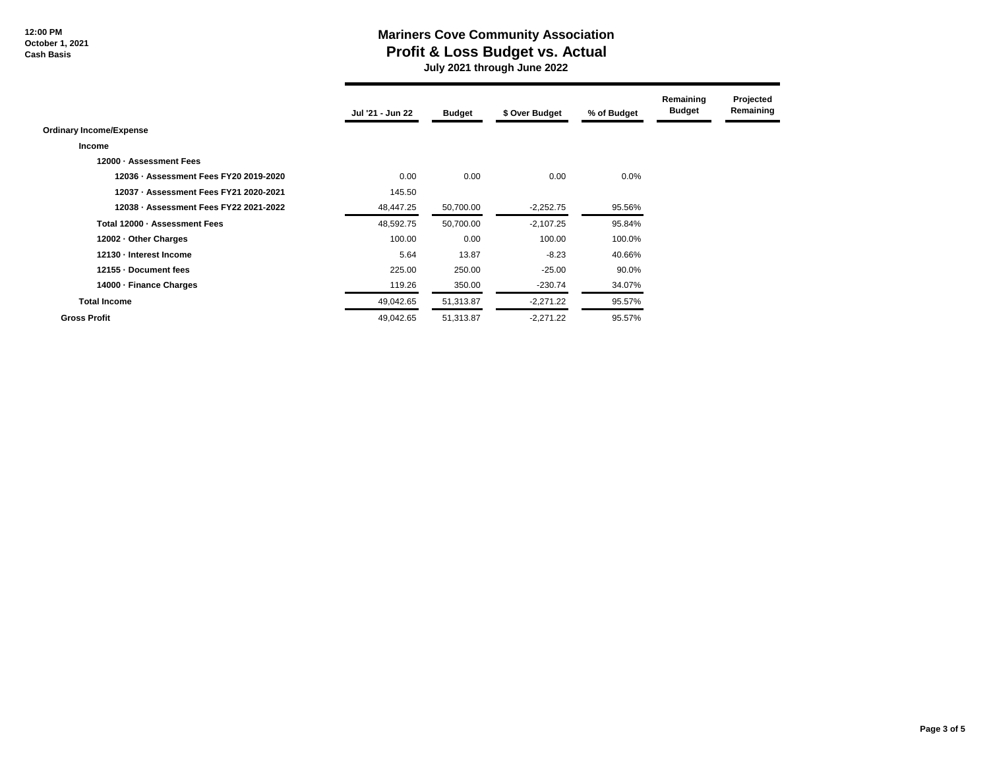**12:00 PM October 1, 2021 Cash Basis**

## **Mariners Cove Community Association Profit & Loss Budget vs. Actual**

 **July 2021 through June 2022**

|                                        | Jul '21 - Jun 22 | <b>Budget</b> | \$ Over Budget | % of Budget | Remaining<br><b>Budget</b> | Projected<br>Remaining |
|----------------------------------------|------------------|---------------|----------------|-------------|----------------------------|------------------------|
| <b>Ordinary Income/Expense</b>         |                  |               |                |             |                            |                        |
| Income                                 |                  |               |                |             |                            |                        |
| 12000 - Assessment Fees                |                  |               |                |             |                            |                        |
| 12036 - Assessment Fees FY20 2019-2020 | 0.00             | 0.00          | 0.00           | $0.0\%$     |                            |                        |
| 12037 - Assessment Fees FY21 2020-2021 | 145.50           |               |                |             |                            |                        |
| 12038 - Assessment Fees FY22 2021-2022 | 48,447.25        | 50,700.00     | $-2,252.75$    | 95.56%      |                            |                        |
| Total 12000 - Assessment Fees          | 48,592.75        | 50,700.00     | $-2,107.25$    | 95.84%      |                            |                        |
| 12002 - Other Charges                  | 100.00           | 0.00          | 100.00         | 100.0%      |                            |                        |
| 12130 - Interest Income                | 5.64             | 13.87         | $-8.23$        | 40.66%      |                            |                        |
| 12155 - Document fees                  | 225.00           | 250.00        | $-25.00$       | 90.0%       |                            |                        |
| 14000 - Finance Charges                | 119.26           | 350.00        | $-230.74$      | 34.07%      |                            |                        |
| <b>Total Income</b>                    | 49,042.65        | 51,313.87     | $-2,271.22$    | 95.57%      |                            |                        |
| <b>Gross Profit</b>                    | 49,042.65        | 51,313.87     | $-2,271.22$    | 95.57%      |                            |                        |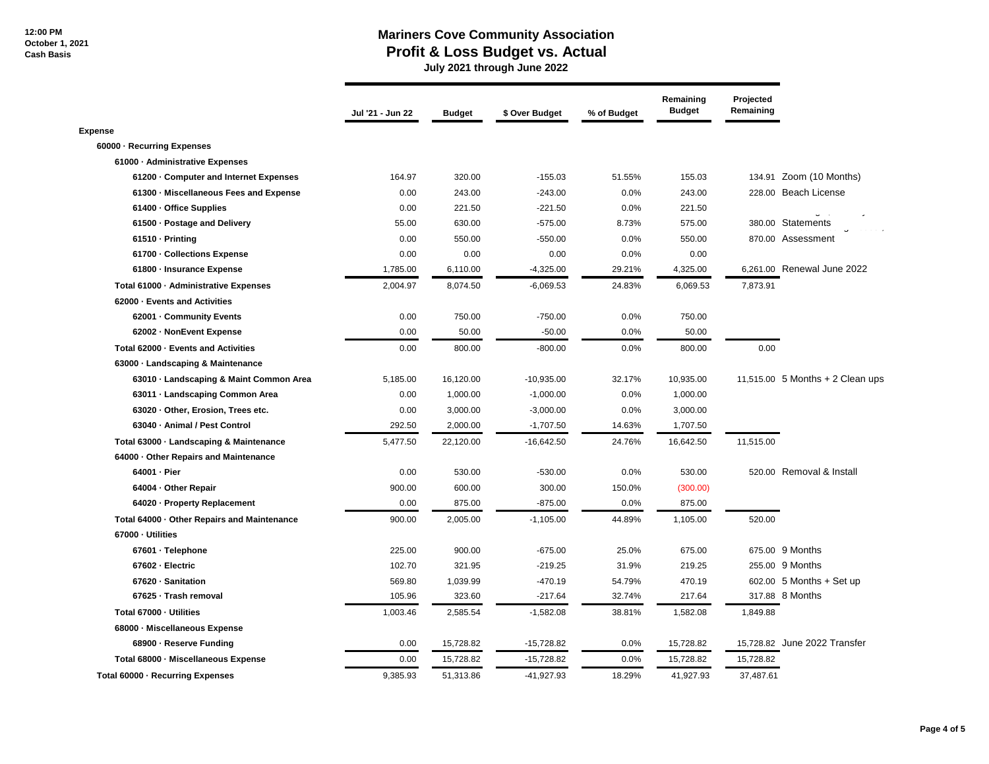#### **Mariners Cove Community Association Profit & Loss Budget vs. Actual**

 **July 2021 through June 2022**

|                                             | Jul '21 - Jun 22 | <b>Budget</b> | \$ Over Budget | % of Budget | Remaining<br><b>Budget</b> | Projected<br>Remaining |                                    |
|---------------------------------------------|------------------|---------------|----------------|-------------|----------------------------|------------------------|------------------------------------|
| <b>Expense</b>                              |                  |               |                |             |                            |                        |                                    |
| 60000 - Recurring Expenses                  |                  |               |                |             |                            |                        |                                    |
| 61000 - Administrative Expenses             |                  |               |                |             |                            |                        |                                    |
| 61200 Computer and Internet Expenses        | 164.97           | 320.00        | $-155.03$      | 51.55%      | 155.03                     |                        | 134.91 Zoom (10 Months)            |
| 61300 · Miscellaneous Fees and Expense      | 0.00             | 243.00        | $-243.00$      | 0.0%        | 243.00                     |                        | 228.00 Beach License               |
| 61400 - Office Supplies                     | 0.00             | 221.50        | $-221.50$      | 0.0%        | 221.50                     |                        |                                    |
| 61500 · Postage and Delivery                | 55.00            | 630.00        | $-575.00$      | 8.73%       | 575.00                     |                        | 380.00 Statements                  |
| 61510 - Printing                            | 0.00             | 550.00        | $-550.00$      | 0.0%        | 550.00                     |                        | 870.00 Assessment                  |
| 61700 - Collections Expense                 | 0.00             | 0.00          | 0.00           | 0.0%        | 0.00                       |                        |                                    |
| 61800 - Insurance Expense                   | 1,785.00         | 6,110.00      | $-4,325.00$    | 29.21%      | 4,325.00                   |                        | 6,261.00 Renewal June 2022         |
| Total 61000 - Administrative Expenses       | 2,004.97         | 8,074.50      | $-6,069.53$    | 24.83%      | 6,069.53                   | 7,873.91               |                                    |
| 62000 - Events and Activities               |                  |               |                |             |                            |                        |                                    |
| 62001 - Community Events                    | 0.00             | 750.00        | $-750.00$      | 0.0%        | 750.00                     |                        |                                    |
| 62002 - NonEvent Expense                    | 0.00             | 50.00         | $-50.00$       | 0.0%        | 50.00                      |                        |                                    |
| Total 62000 - Events and Activities         | 0.00             | 800.00        | $-800.00$      | 0.0%        | 800.00                     | 0.00                   |                                    |
| 63000 Landscaping & Maintenance             |                  |               |                |             |                            |                        |                                    |
| 63010 - Landscaping & Maint Common Area     | 5,185.00         | 16,120.00     | $-10,935.00$   | 32.17%      | 10,935.00                  |                        | 11,515.00 $5$ Months + 2 Clean ups |
| 63011 - Landscaping Common Area             | 0.00             | 1,000.00      | $-1,000.00$    | 0.0%        | 1,000.00                   |                        |                                    |
| 63020 · Other, Erosion, Trees etc.          | 0.00             | 3,000.00      | $-3,000.00$    | 0.0%        | 3,000.00                   |                        |                                    |
| 63040 - Animal / Pest Control               | 292.50           | 2,000.00      | $-1,707.50$    | 14.63%      | 1,707.50                   |                        |                                    |
| Total 63000 - Landscaping & Maintenance     | 5,477.50         | 22,120.00     | $-16,642.50$   | 24.76%      | 16,642.50                  | 11,515.00              |                                    |
| 64000 · Other Repairs and Maintenance       |                  |               |                |             |                            |                        |                                    |
| 64001 - Pier                                | 0.00             | 530.00        | $-530.00$      | 0.0%        | 530.00                     |                        | 520.00 Removal & Install           |
| 64004 - Other Repair                        | 900.00           | 600.00        | 300.00         | 150.0%      | (300.00)                   |                        |                                    |
| 64020 - Property Replacement                | 0.00             | 875.00        | $-875.00$      | 0.0%        | 875.00                     |                        |                                    |
| Total 64000 - Other Repairs and Maintenance | 900.00           | 2,005.00      | $-1,105.00$    | 44.89%      | 1,105.00                   | 520.00                 |                                    |
| 67000 - Utilities                           |                  |               |                |             |                            |                        |                                    |
| 67601 · Telephone                           | 225.00           | 900.00        | $-675.00$      | 25.0%       | 675.00                     |                        | 675.00 9 Months                    |
| 67602 - Electric                            | 102.70           | 321.95        | $-219.25$      | 31.9%       | 219.25                     |                        | 255.00 9 Months                    |
| 67620 - Sanitation                          | 569.80           | 1,039.99      | $-470.19$      | 54.79%      | 470.19                     |                        | 602.00 5 Months + Set up           |
| 67625 · Trash removal                       | 105.96           | 323.60        | $-217.64$      | 32.74%      | 217.64                     |                        | 317.88 8 Months                    |
| Total 67000 - Utilities                     | 1,003.46         | 2,585.54      | $-1,582.08$    | 38.81%      | 1,582.08                   | 1,849.88               |                                    |
| 68000 - Miscellaneous Expense               |                  |               |                |             |                            |                        |                                    |
| 68900 - Reserve Funding                     | 0.00             | 15,728.82     | $-15,728.82$   | 0.0%        | 15,728.82                  |                        | 15,728.82 June 2022 Transfer       |
| Total 68000 - Miscellaneous Expense         | 0.00             | 15,728.82     | $-15,728.82$   | 0.0%        | 15,728.82                  | 15,728.82              |                                    |
| Total 60000 - Recurring Expenses            | 9,385.93         | 51,313.86     | $-41,927.93$   | 18.29%      | 41,927.93                  | 37,487.61              |                                    |